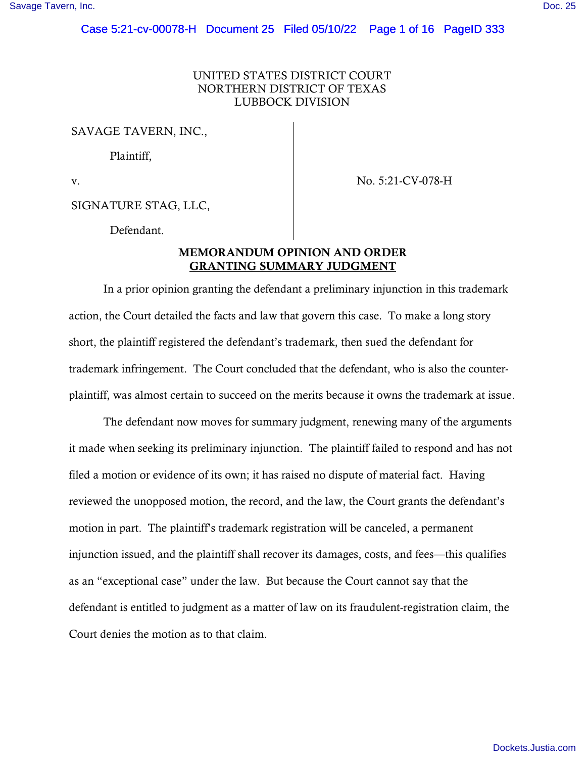# UNITED STATES DISTRICT COURT NORTHERN DISTRICT OF TEXAS LUBBOCK DIVISION

SAVAGE TAVERN, INC.,

Plaintiff,

v. No. 5:21-CV-078-H

SIGNATURE STAG, LLC,

Defendant.

# MEMORANDUM OPINION AND ORDER GRANTING SUMMARY JUDGMENT

In a prior opinion granting the defendant a preliminary injunction in this trademark action, the Court detailed the facts and law that govern this case. To make a long story short, the plaintiff registered the defendant's trademark, then sued the defendant for trademark infringement. The Court concluded that the defendant, who is also the counterplaintiff, was almost certain to succeed on the merits because it owns the trademark at issue.

The defendant now moves for summary judgment, renewing many of the arguments it made when seeking its preliminary injunction. The plaintiff failed to respond and has not filed a motion or evidence of its own; it has raised no dispute of material fact. Having reviewed the unopposed motion, the record, and the law, the Court grants the defendant's motion in part. The plaintiff's trademark registration will be canceled, a permanent injunction issued, and the plaintiff shall recover its damages, costs, and fees—this qualifies as an "exceptional case" under the law. But because the Court cannot say that the defendant is entitled to judgment as a matter of law on its fraudulent-registration claim, the Court denies the motion as to that claim.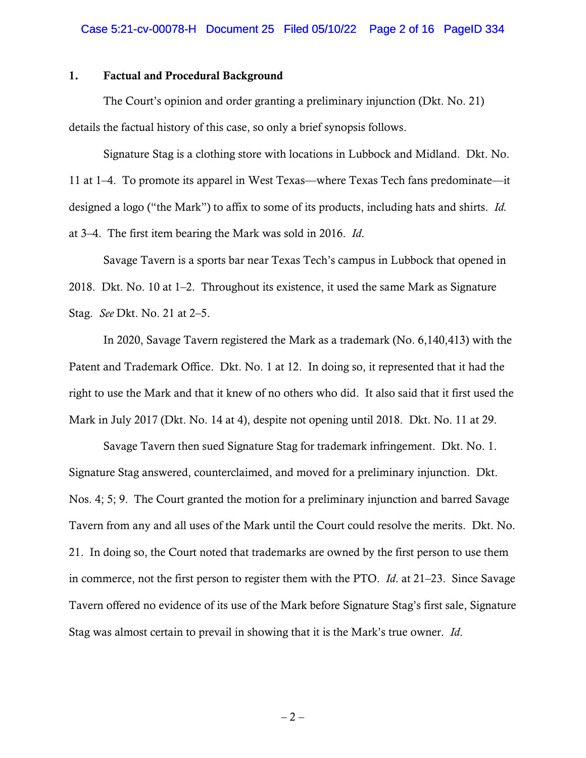# 1. Factual and Procedural Background

The Court's opinion and order granting a preliminary injunction (Dkt. No. 21) details the factual history of this case, so only a brief synopsis follows.

Signature Stag is a clothing store with locations in Lubbock and Midland. Dkt. No. 11 at 1–4. To promote its apparel in West Texas—where Texas Tech fans predominate—it designed a logo ("the Mark") to affix to some of its products, including hats and shirts. *Id.*  at 3–4. The first item bearing the Mark was sold in 2016. *Id*.

Savage Tavern is a sports bar near Texas Tech's campus in Lubbock that opened in 2018. Dkt. No. 10 at 1–2. Throughout its existence, it used the same Mark as Signature Stag. *See* Dkt. No. 21 at 2–5.

In 2020, Savage Tavern registered the Mark as a trademark (No. 6,140,413) with the Patent and Trademark Office. Dkt. No. 1 at 12. In doing so, it represented that it had the right to use the Mark and that it knew of no others who did. It also said that it first used the Mark in July 2017 (Dkt. No. 14 at 4), despite not opening until 2018. Dkt. No. 11 at 29.

Savage Tavern then sued Signature Stag for trademark infringement. Dkt. No. 1. Signature Stag answered, counterclaimed, and moved for a preliminary injunction. Dkt. Nos. 4; 5; 9. The Court granted the motion for a preliminary injunction and barred Savage Tavern from any and all uses of the Mark until the Court could resolve the merits. Dkt. No. 21. In doing so, the Court noted that trademarks are owned by the first person to use them in commerce, not the first person to register them with the PTO. *Id*. at 21–23. Since Savage Tavern offered no evidence of its use of the Mark before Signature Stag's first sale, Signature Stag was almost certain to prevail in showing that it is the Mark's true owner. *Id*.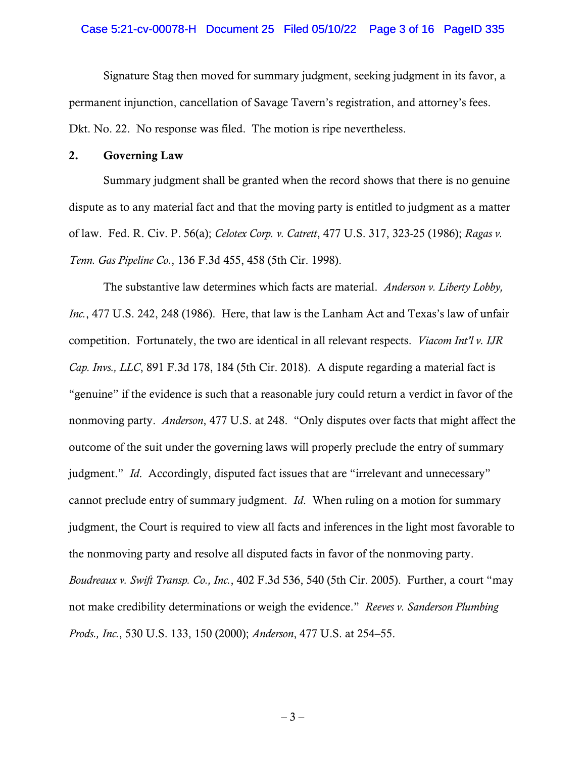### Case 5:21-cv-00078-H Document 25 Filed 05/10/22 Page 3 of 16 PageID 335

Signature Stag then moved for summary judgment, seeking judgment in its favor, a permanent injunction, cancellation of Savage Tavern's registration, and attorney's fees. Dkt. No. 22. No response was filed. The motion is ripe nevertheless.

### 2. Governing Law

Summary judgment shall be granted when the record shows that there is no genuine dispute as to any material fact and that the moving party is entitled to judgment as a matter of law. Fed. R. Civ. P. 56(a); *Celotex Corp. v. Catrett*, 477 U.S. 317, 323-25 (1986); *Ragas v. Tenn. Gas Pipeline Co.*, 136 F.3d 455, 458 (5th Cir. 1998).

The substantive law determines which facts are material. *Anderson v. Liberty Lobby, Inc.*, 477 U.S. 242, 248 (1986). Here, that law is the Lanham Act and Texas's law of unfair competition. Fortunately, the two are identical in all relevant respects. *Viacom Int'l v. IJR Cap. Invs., LLC*, 891 F.3d 178, 184 (5th Cir. 2018). A dispute regarding a material fact is "genuine" if the evidence is such that a reasonable jury could return a verdict in favor of the nonmoving party. *Anderson*, 477 U.S. at 248. "Only disputes over facts that might affect the outcome of the suit under the governing laws will properly preclude the entry of summary judgment." *Id.* Accordingly, disputed fact issues that are "irrelevant and unnecessary" cannot preclude entry of summary judgment. *Id*. When ruling on a motion for summary judgment, the Court is required to view all facts and inferences in the light most favorable to the nonmoving party and resolve all disputed facts in favor of the nonmoving party. *Boudreaux v. Swift Transp. Co., Inc.*, 402 F.3d 536, 540 (5th Cir. 2005). Further, a court "may not make credibility determinations or weigh the evidence." *Reeves v. Sanderson Plumbing Prods., Inc.*, 530 U.S. 133, 150 (2000); *Anderson*, 477 U.S. at 254–55.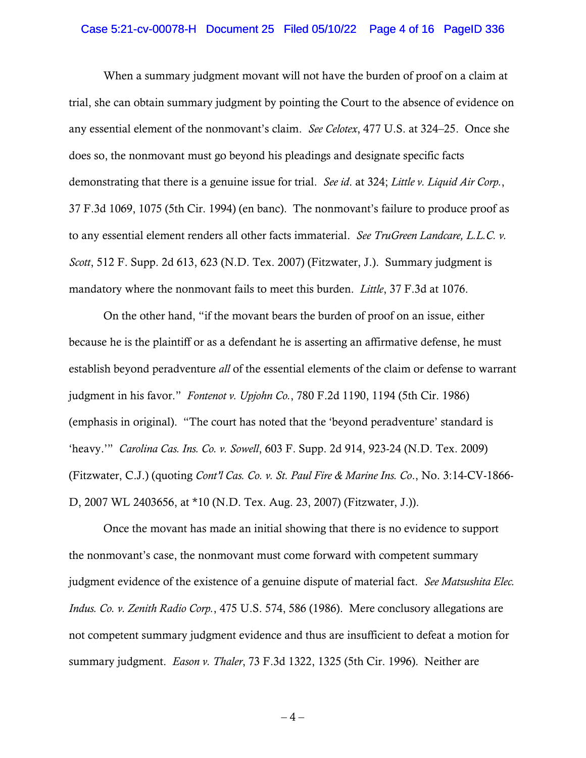### Case 5:21-cv-00078-H Document 25 Filed 05/10/22 Page 4 of 16 PageID 336

When a summary judgment movant will not have the burden of proof on a claim at trial, she can obtain summary judgment by pointing the Court to the absence of evidence on any essential element of the nonmovant's claim. *See Celotex*, 477 U.S. at 324–25. Once she does so, the nonmovant must go beyond his pleadings and designate specific facts demonstrating that there is a genuine issue for trial. *See id*. at 324; *Little v. Liquid Air Corp.*, 37 F.3d 1069, 1075 (5th Cir. 1994) (en banc). The nonmovant's failure to produce proof as to any essential element renders all other facts immaterial. *See TruGreen Landcare, L.L.C. v. Scott*, 512 F. Supp. 2d 613, 623 (N.D. Tex. 2007) (Fitzwater, J.). Summary judgment is mandatory where the nonmovant fails to meet this burden. *Little*, 37 F.3d at 1076.

On the other hand, "if the movant bears the burden of proof on an issue, either because he is the plaintiff or as a defendant he is asserting an affirmative defense, he must establish beyond peradventure *all* of the essential elements of the claim or defense to warrant judgment in his favor." *Fontenot v. Upjohn Co.*, 780 F.2d 1190, 1194 (5th Cir. 1986) (emphasis in original). "The court has noted that the 'beyond peradventure' standard is 'heavy.'" *Carolina Cas. Ins. Co. v. Sowell*, 603 F. Supp. 2d 914, 923-24 (N.D. Tex. 2009) (Fitzwater, C.J.) (quoting *Cont'l Cas. Co. v. St. Paul Fire & Marine Ins. Co*., No. 3:14-CV-1866- D, 2007 WL 2403656, at \*10 (N.D. Tex. Aug. 23, 2007) (Fitzwater, J.)).

Once the movant has made an initial showing that there is no evidence to support the nonmovant's case, the nonmovant must come forward with competent summary judgment evidence of the existence of a genuine dispute of material fact. *See Matsushita Elec. Indus. Co. v. Zenith Radio Corp.*, 475 U.S. 574, 586 (1986). Mere conclusory allegations are not competent summary judgment evidence and thus are insufficient to defeat a motion for summary judgment. *Eason v. Thaler*, 73 F.3d 1322, 1325 (5th Cir. 1996). Neither are

 $-4-$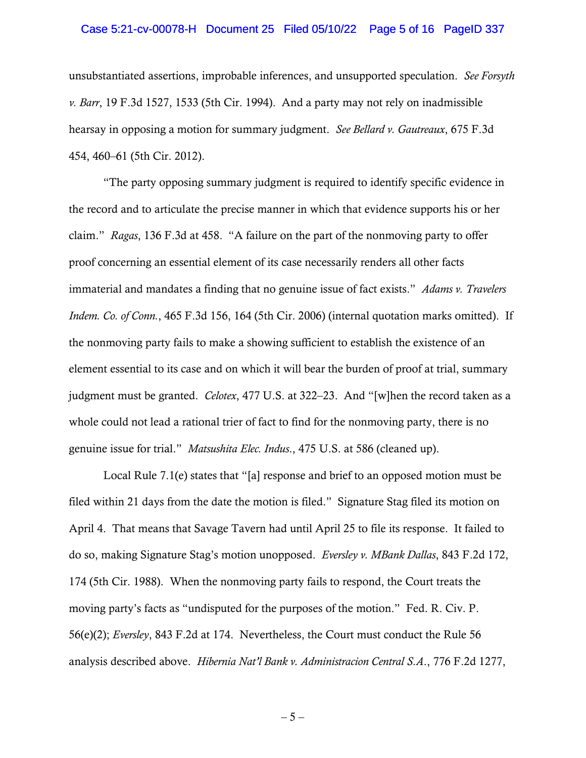#### Case 5:21-cv-00078-H Document 25 Filed 05/10/22 Page 5 of 16 PageID 337

unsubstantiated assertions, improbable inferences, and unsupported speculation. *See Forsyth v. Barr*, 19 F.3d 1527, 1533 (5th Cir. 1994). And a party may not rely on inadmissible hearsay in opposing a motion for summary judgment. *See Bellard v. Gautreaux*, 675 F.3d 454, 460–61 (5th Cir. 2012).

"The party opposing summary judgment is required to identify specific evidence in the record and to articulate the precise manner in which that evidence supports his or her claim." *Ragas*, 136 F.3d at 458. "A failure on the part of the nonmoving party to offer proof concerning an essential element of its case necessarily renders all other facts immaterial and mandates a finding that no genuine issue of fact exists." *Adams v. Travelers Indem. Co. of Conn.*, 465 F.3d 156, 164 (5th Cir. 2006) (internal quotation marks omitted). If the nonmoving party fails to make a showing sufficient to establish the existence of an element essential to its case and on which it will bear the burden of proof at trial, summary judgment must be granted. *Celotex*, 477 U.S. at 322–23. And "[w]hen the record taken as a whole could not lead a rational trier of fact to find for the nonmoving party, there is no genuine issue for trial." *Matsushita Elec. Indus*., 475 U.S. at 586 (cleaned up).

Local Rule 7.1(e) states that "[a] response and brief to an opposed motion must be filed within 21 days from the date the motion is filed." Signature Stag filed its motion on April 4. That means that Savage Tavern had until April 25 to file its response. It failed to do so, making Signature Stag's motion unopposed. *Eversley v. MBank Dallas*, 843 F.2d 172, 174 (5th Cir. 1988). When the nonmoving party fails to respond, the Court treats the moving party's facts as "undisputed for the purposes of the motion." Fed. R. Civ. P. 56(e)(2); *Eversley*, 843 F.2d at 174. Nevertheless, the Court must conduct the Rule 56 analysis described above. *Hibernia Nat'l Bank v. Administracion Central S.A*., 776 F.2d 1277,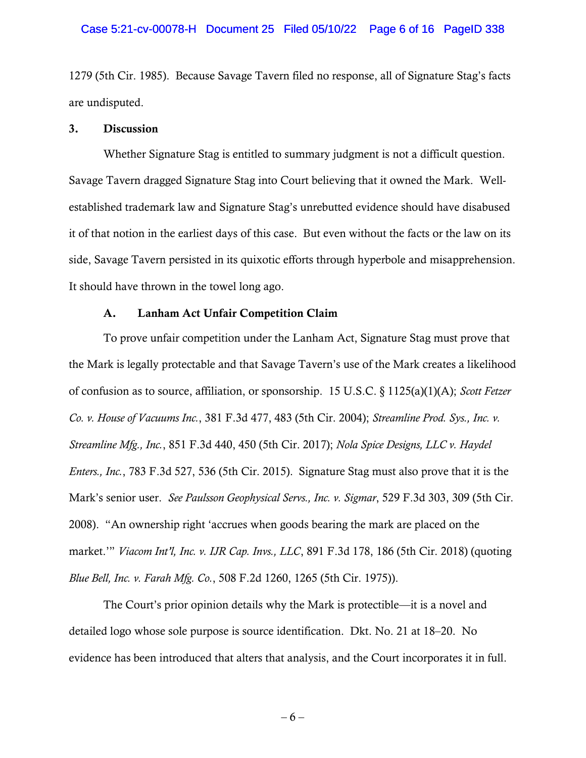#### Case 5:21-cv-00078-H Document 25 Filed 05/10/22 Page 6 of 16 PageID 338

1279 (5th Cir. 1985). Because Savage Tavern filed no response, all of Signature Stag's facts are undisputed.

## 3. Discussion

Whether Signature Stag is entitled to summary judgment is not a difficult question. Savage Tavern dragged Signature Stag into Court believing that it owned the Mark. Wellestablished trademark law and Signature Stag's unrebutted evidence should have disabused it of that notion in the earliest days of this case. But even without the facts or the law on its side, Savage Tavern persisted in its quixotic efforts through hyperbole and misapprehension. It should have thrown in the towel long ago.

## A. Lanham Act Unfair Competition Claim

To prove unfair competition under the Lanham Act, Signature Stag must prove that the Mark is legally protectable and that Savage Tavern's use of the Mark creates a likelihood of confusion as to source, affiliation, or sponsorship. 15 U.S.C. § 1125(a)(1)(A); *Scott Fetzer Co. v. House of Vacuums Inc.*, 381 F.3d 477, 483 (5th Cir. 2004); *Streamline Prod. Sys., Inc. v. Streamline Mfg., Inc.*, 851 F.3d 440, 450 (5th Cir. 2017); *Nola Spice Designs, LLC v. Haydel Enters., Inc.*, 783 F.3d 527, 536 (5th Cir. 2015). Signature Stag must also prove that it is the Mark's senior user. *See Paulsson Geophysical Servs., Inc. v. Sigmar*, 529 F.3d 303, 309 (5th Cir. 2008). "An ownership right 'accrues when goods bearing the mark are placed on the market.'" *Viacom Int'l, Inc. v. IJR Cap. Invs., LLC*, 891 F.3d 178, 186 (5th Cir. 2018) (quoting *Blue Bell, Inc. v. Farah Mfg. Co.*, 508 F.2d 1260, 1265 (5th Cir. 1975)).

The Court's prior opinion details why the Mark is protectible—it is a novel and detailed logo whose sole purpose is source identification. Dkt. No. 21 at 18–20. No evidence has been introduced that alters that analysis, and the Court incorporates it in full.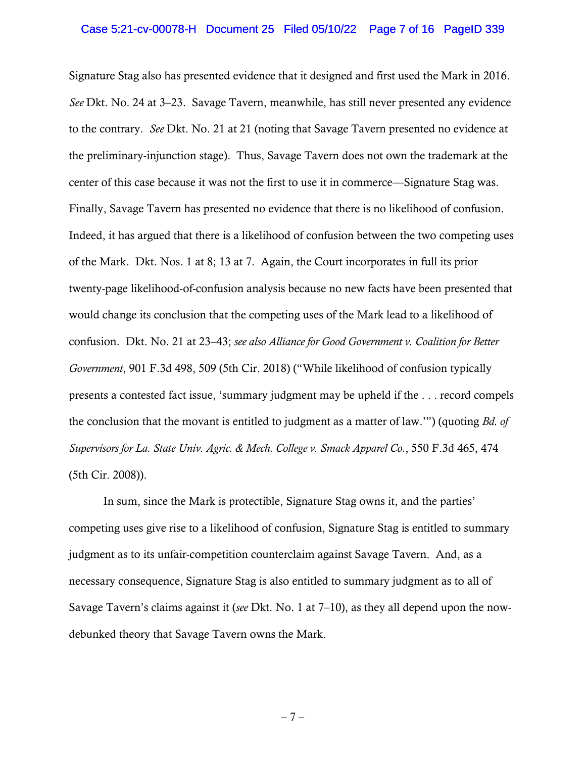### Case 5:21-cv-00078-H Document 25 Filed 05/10/22 Page 7 of 16 PageID 339

Signature Stag also has presented evidence that it designed and first used the Mark in 2016. *See* Dkt. No. 24 at 3–23. Savage Tavern, meanwhile, has still never presented any evidence to the contrary. *See* Dkt. No. 21 at 21 (noting that Savage Tavern presented no evidence at the preliminary-injunction stage). Thus, Savage Tavern does not own the trademark at the center of this case because it was not the first to use it in commerce—Signature Stag was. Finally, Savage Tavern has presented no evidence that there is no likelihood of confusion. Indeed, it has argued that there is a likelihood of confusion between the two competing uses of the Mark. Dkt. Nos. 1 at 8; 13 at 7. Again, the Court incorporates in full its prior twenty-page likelihood-of-confusion analysis because no new facts have been presented that would change its conclusion that the competing uses of the Mark lead to a likelihood of confusion. Dkt. No. 21 at 23–43; *see also Alliance for Good Government v. Coalition for Better Government*, 901 F.3d 498, 509 (5th Cir. 2018) ("While likelihood of confusion typically presents a contested fact issue, 'summary judgment may be upheld if the . . . record compels the conclusion that the movant is entitled to judgment as a matter of law.'") (quoting *Bd. of Supervisors for La. State Univ. Agric. & Mech. College v. Smack Apparel Co.*, 550 F.3d 465, 474 (5th Cir. 2008)).

In sum, since the Mark is protectible, Signature Stag owns it, and the parties' competing uses give rise to a likelihood of confusion, Signature Stag is entitled to summary judgment as to its unfair-competition counterclaim against Savage Tavern. And, as a necessary consequence, Signature Stag is also entitled to summary judgment as to all of Savage Tavern's claims against it (*see* Dkt. No. 1 at 7–10), as they all depend upon the nowdebunked theory that Savage Tavern owns the Mark.

 $-7-$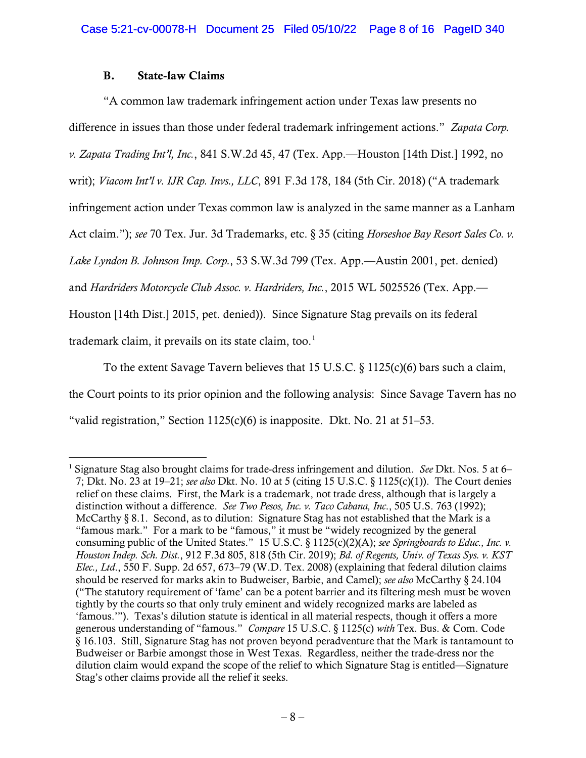# B. State-law Claims

"A common law trademark infringement action under Texas law presents no difference in issues than those under federal trademark infringement actions." *Zapata Corp. v. Zapata Trading Int'l, Inc.*, 841 S.W.2d 45, 47 (Tex. App.—Houston [14th Dist.] 1992, no writ); *Viacom Int'l v. IJR Cap. Invs., LLC*, 891 F.3d 178, 184 (5th Cir. 2018) ("A trademark infringement action under Texas common law is analyzed in the same manner as a Lanham Act claim."); *see* 70 Tex. Jur. 3d Trademarks, etc. § 35 (citing *Horseshoe Bay Resort Sales Co. v. Lake Lyndon B. Johnson Imp. Corp.*, 53 S.W.3d 799 (Tex. App.—Austin 2001, pet. denied) and *Hardriders Motorcycle Club Assoc. v. Hardriders, Inc.*, 2015 WL 5025526 (Tex. App.— Houston [14th Dist.] 2015, pet. denied)). Since Signature Stag prevails on its federal trademark claim, it prevails on its state claim, too.<sup>[1](#page-7-0)</sup>

To the extent Savage Tavern believes that 15 U.S.C.  $\S$  1125(c)(6) bars such a claim, the Court points to its prior opinion and the following analysis: Since Savage Tavern has no "valid registration," Section  $1125(c)(6)$  is inapposite. Dkt. No. 21 at 51–53.

<span id="page-7-0"></span><sup>1</sup> Signature Stag also brought claims for trade-dress infringement and dilution. *See* Dkt. Nos. 5 at 6– 7; Dkt. No. 23 at 19–21; *see also* Dkt. No. 10 at 5 (citing 15 U.S.C. § 1125(c)(1)). The Court denies relief on these claims. First, the Mark is a trademark, not trade dress, although that is largely a distinction without a difference. *See Two Pesos, Inc. v. Taco Cabana, Inc*., 505 U.S. 763 (1992); McCarthy  $\S 8.1$ . Second, as to dilution: Signature Stag has not established that the Mark is a "famous mark." For a mark to be "famous," it must be "widely recognized by the general consuming public of the United States." 15 U.S.C. § 1125(c)(2)(A); *see Springboards to Educ., Inc. v. Houston Indep. Sch. Dist.*, 912 F.3d 805, 818 (5th Cir. 2019); *Bd. of Regents, Univ. of Texas Sys. v. KST Elec., Ltd*., 550 F. Supp. 2d 657, 673–79 (W.D. Tex. 2008) (explaining that federal dilution claims should be reserved for marks akin to Budweiser, Barbie, and Camel); *see also* McCarthy § 24.104 ("The statutory requirement of 'fame' can be a potent barrier and its filtering mesh must be woven tightly by the courts so that only truly eminent and widely recognized marks are labeled as 'famous.'"). Texas's dilution statute is identical in all material respects, though it offers a more generous understanding of "famous." *Compare* 15 U.S.C. § 1125(c) *with* Tex. Bus. & Com. Code § 16.103. Still, Signature Stag has not proven beyond peradventure that the Mark is tantamount to Budweiser or Barbie amongst those in West Texas. Regardless, neither the trade-dress nor the dilution claim would expand the scope of the relief to which Signature Stag is entitled—Signature Stag's other claims provide all the relief it seeks.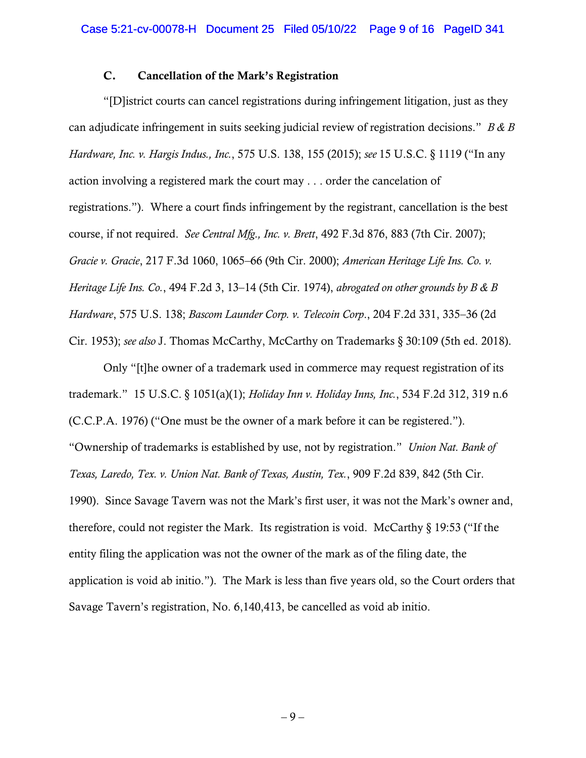# C. Cancellation of the Mark's Registration

"[D]istrict courts can cancel registrations during infringement litigation, just as they can adjudicate infringement in suits seeking judicial review of registration decisions." *B & B Hardware, Inc. v. Hargis Indus., Inc.*, 575 U.S. 138, 155 (2015); *see* 15 U.S.C. § 1119 ("In any action involving a registered mark the court may . . . order the cancelation of registrations."). Where a court finds infringement by the registrant, cancellation is the best course, if not required. *See Central Mfg., Inc. v. Brett*, 492 F.3d 876, 883 (7th Cir. 2007); *Gracie v. Gracie*, 217 F.3d 1060, 1065–66 (9th Cir. 2000); *American Heritage Life Ins. Co. v. Heritage Life Ins. Co.*, 494 F.2d 3, 13–14 (5th Cir. 1974), *abrogated on other grounds by B & B Hardware*, 575 U.S. 138; *Bascom Launder Corp. v. Telecoin Corp*., 204 F.2d 331, 335–36 (2d Cir. 1953); *see also* J. Thomas McCarthy, McCarthy on Trademarks § 30:109 (5th ed. 2018).

Only "[t]he owner of a trademark used in commerce may request registration of its trademark." 15 U.S.C. § 1051(a)(1); *Holiday Inn v. Holiday Inns, Inc.*, 534 F.2d 312, 319 n.6 (C.C.P.A. 1976) ("One must be the owner of a mark before it can be registered."). "Ownership of trademarks is established by use, not by registration." *Union Nat. Bank of Texas, Laredo, Tex. v. Union Nat. Bank of Texas, Austin, Tex.*, 909 F.2d 839, 842 (5th Cir. 1990). Since Savage Tavern was not the Mark's first user, it was not the Mark's owner and, therefore, could not register the Mark. Its registration is void. McCarthy  $\S 19:53$  ("If the entity filing the application was not the owner of the mark as of the filing date, the application is void ab initio."). The Mark is less than five years old, so the Court orders that Savage Tavern's registration, No. 6,140,413, be cancelled as void ab initio.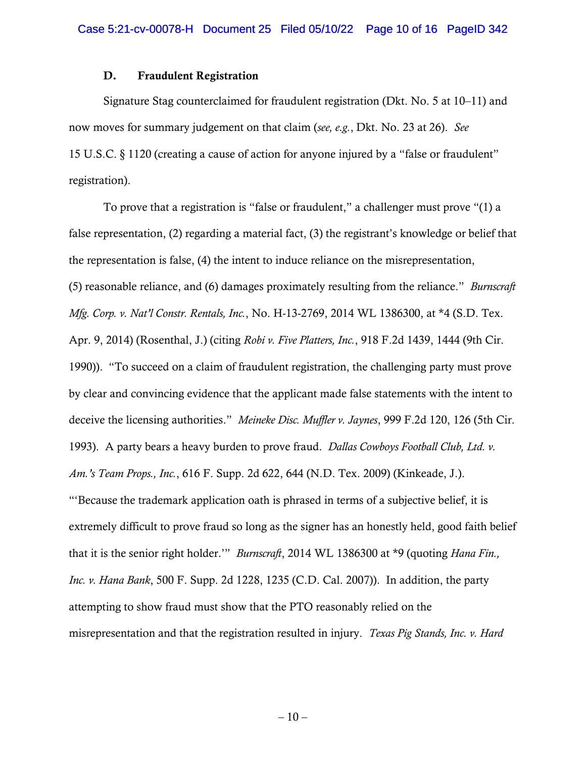# D. Fraudulent Registration

Signature Stag counterclaimed for fraudulent registration (Dkt. No. 5 at 10–11) and now moves for summary judgement on that claim (*see, e.g.*, Dkt. No. 23 at 26). *See*  15 U.S.C. § 1120 (creating a cause of action for anyone injured by a "false or fraudulent" registration).

To prove that a registration is "false or fraudulent," a challenger must prove "(1) a false representation, (2) regarding a material fact, (3) the registrant's knowledge or belief that the representation is false, (4) the intent to induce reliance on the misrepresentation, (5) reasonable reliance, and (6) damages proximately resulting from the reliance." *Burnscraft Mfg. Corp. v. Nat'l Constr. Rentals, Inc.*, No. H-13-2769, 2014 WL 1386300, at \*4 (S.D. Tex. Apr. 9, 2014) (Rosenthal, J.) (citing *Robi v. Five Platters, Inc.*, 918 F.2d 1439, 1444 (9th Cir. 1990)). "To succeed on a claim of fraudulent registration, the challenging party must prove by clear and convincing evidence that the applicant made false statements with the intent to deceive the licensing authorities." *Meineke Disc. Muffler v. Jaynes*, 999 F.2d 120, 126 (5th Cir. 1993). A party bears a heavy burden to prove fraud. *Dallas Cowboys Football Club, Ltd. v. Am.'s Team Props., Inc.*, 616 F. Supp. 2d 622, 644 (N.D. Tex. 2009) (Kinkeade, J.). "'Because the trademark application oath is phrased in terms of a subjective belief, it is extremely difficult to prove fraud so long as the signer has an honestly held, good faith belief that it is the senior right holder.'" *Burnscraft*, 2014 WL 1386300 at \*9 (quoting *Hana Fin., Inc. v. Hana Bank*, 500 F. Supp. 2d 1228, 1235 (C.D. Cal. 2007)). In addition, the party attempting to show fraud must show that the PTO reasonably relied on the misrepresentation and that the registration resulted in injury. *Texas Pig Stands, Inc. v. Hard*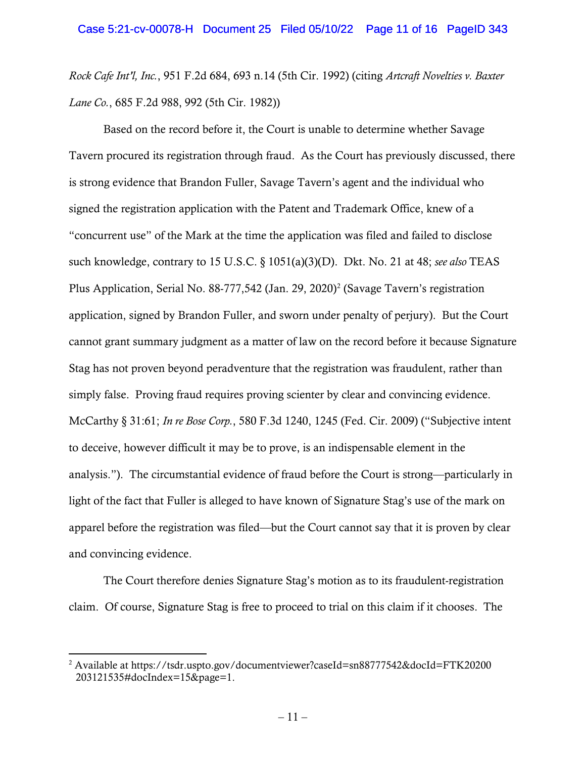*Rock Cafe Int'l, Inc.*, 951 F.2d 684, 693 n.14 (5th Cir. 1992) (citing *Artcraft Novelties v. Baxter Lane Co.*, 685 F.2d 988, 992 (5th Cir. 1982))

Based on the record before it, the Court is unable to determine whether Savage Tavern procured its registration through fraud. As the Court has previously discussed, there is strong evidence that Brandon Fuller, Savage Tavern's agent and the individual who signed the registration application with the Patent and Trademark Office, knew of a "concurrent use" of the Mark at the time the application was filed and failed to disclose such knowledge, contrary to 15 U.S.C. § 1051(a)(3)(D). Dkt. No. 21 at 48; *see also* TEAS Plus Application, Serial No. 88-777,54[2](#page-10-0) (Jan. 29, 2020)<sup>2</sup> (Savage Tavern's registration application, signed by Brandon Fuller, and sworn under penalty of perjury). But the Court cannot grant summary judgment as a matter of law on the record before it because Signature Stag has not proven beyond peradventure that the registration was fraudulent, rather than simply false. Proving fraud requires proving scienter by clear and convincing evidence. McCarthy § 31:61; *In re Bose Corp.*, 580 F.3d 1240, 1245 (Fed. Cir. 2009) ("Subjective intent to deceive, however difficult it may be to prove, is an indispensable element in the analysis."). The circumstantial evidence of fraud before the Court is strong—particularly in light of the fact that Fuller is alleged to have known of Signature Stag's use of the mark on apparel before the registration was filed—but the Court cannot say that it is proven by clear and convincing evidence.

The Court therefore denies Signature Stag's motion as to its fraudulent-registration claim. Of course, Signature Stag is free to proceed to trial on this claim if it chooses. The

<span id="page-10-0"></span><sup>&</sup>lt;sup>2</sup> Available at https://tsdr.uspto.gov/documentviewer?caseId=sn88777542&docId=FTK20200 203121535#docIndex=15&page=1.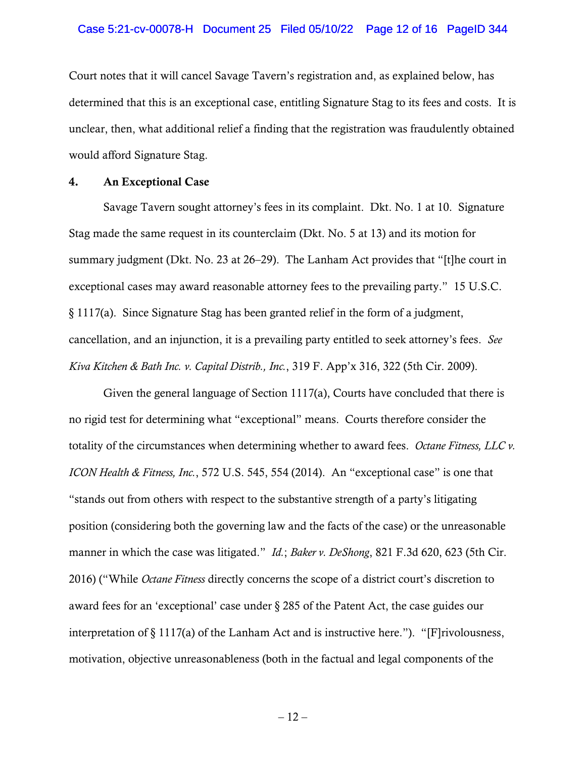#### Case 5:21-cv-00078-H Document 25 Filed 05/10/22 Page 12 of 16 PageID 344

Court notes that it will cancel Savage Tavern's registration and, as explained below, has determined that this is an exceptional case, entitling Signature Stag to its fees and costs. It is unclear, then, what additional relief a finding that the registration was fraudulently obtained would afford Signature Stag.

### 4. An Exceptional Case

Savage Tavern sought attorney's fees in its complaint. Dkt. No. 1 at 10. Signature Stag made the same request in its counterclaim (Dkt. No. 5 at 13) and its motion for summary judgment (Dkt. No. 23 at 26–29). The Lanham Act provides that "[t]he court in exceptional cases may award reasonable attorney fees to the prevailing party." 15 U.S.C. § 1117(a). Since Signature Stag has been granted relief in the form of a judgment, cancellation, and an injunction, it is a prevailing party entitled to seek attorney's fees. *See Kiva Kitchen & Bath Inc. v. Capital Distrib., Inc.*, 319 F. App'x 316, 322 (5th Cir. 2009).

Given the general language of Section 1117(a), Courts have concluded that there is no rigid test for determining what "exceptional" means. Courts therefore consider the totality of the circumstances when determining whether to award fees. *Octane Fitness, LLC v. ICON Health & Fitness, Inc.*, 572 U.S. 545, 554 (2014). An "exceptional case" is one that "stands out from others with respect to the substantive strength of a party's litigating position (considering both the governing law and the facts of the case) or the unreasonable manner in which the case was litigated." *Id.*; *Baker v. DeShong*, 821 F.3d 620, 623 (5th Cir. 2016) ("While *Octane Fitness* directly concerns the scope of a district court's discretion to award fees for an 'exceptional' case under § 285 of the Patent Act, the case guides our interpretation of § 1117(a) of the Lanham Act and is instructive here."). "[F]rivolousness, motivation, objective unreasonableness (both in the factual and legal components of the

 $-12-$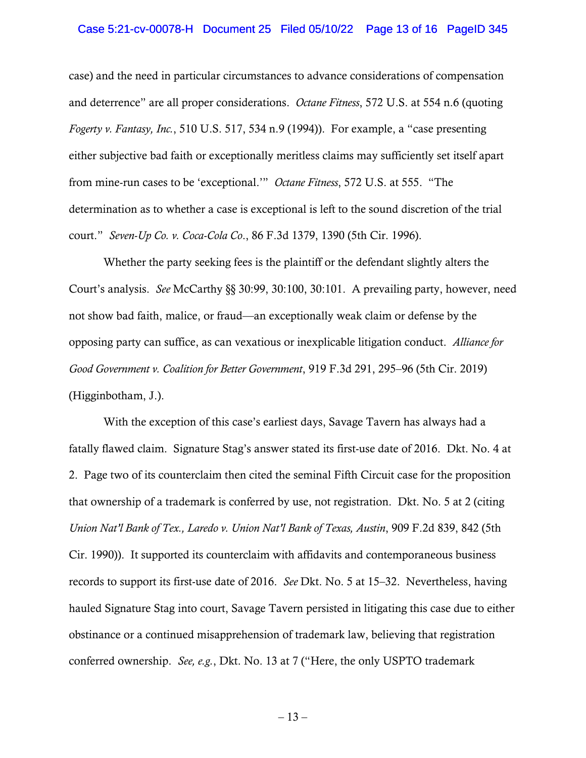### Case 5:21-cv-00078-H Document 25 Filed 05/10/22 Page 13 of 16 PageID 345

case) and the need in particular circumstances to advance considerations of compensation and deterrence" are all proper considerations. *Octane Fitness*, 572 U.S. at 554 n.6 (quoting *Fogerty v. Fantasy, Inc.*, 510 U.S. 517, 534 n.9 (1994)). For example, a "case presenting either subjective bad faith or exceptionally meritless claims may sufficiently set itself apart from mine-run cases to be 'exceptional.'" *Octane Fitness*, 572 U.S. at 555. "The determination as to whether a case is exceptional is left to the sound discretion of the trial court." *Seven-Up Co. v. Coca-Cola Co*., 86 F.3d 1379, 1390 (5th Cir. 1996).

Whether the party seeking fees is the plaintiff or the defendant slightly alters the Court's analysis. *See* McCarthy §§ 30:99, 30:100, 30:101. A prevailing party, however, need not show bad faith, malice, or fraud—an exceptionally weak claim or defense by the opposing party can suffice, as can vexatious or inexplicable litigation conduct. *Alliance for Good Government v. Coalition for Better Government*, 919 F.3d 291, 295–96 (5th Cir. 2019) (Higginbotham, J.).

With the exception of this case's earliest days, Savage Tavern has always had a fatally flawed claim. Signature Stag's answer stated its first-use date of 2016. Dkt. No. 4 at 2. Page two of its counterclaim then cited the seminal Fifth Circuit case for the proposition that ownership of a trademark is conferred by use, not registration. Dkt. No. 5 at 2 (citing *Union Nat'l Bank of Tex., Laredo v. Union Nat'l Bank of Texas, Austin*, 909 F.2d 839, 842 (5th Cir. 1990)). It supported its counterclaim with affidavits and contemporaneous business records to support its first-use date of 2016. *See* Dkt. No. 5 at 15–32. Nevertheless, having hauled Signature Stag into court, Savage Tavern persisted in litigating this case due to either obstinance or a continued misapprehension of trademark law, believing that registration conferred ownership. *See, e.g.*, Dkt. No. 13 at 7 ("Here, the only USPTO trademark

 $-13-$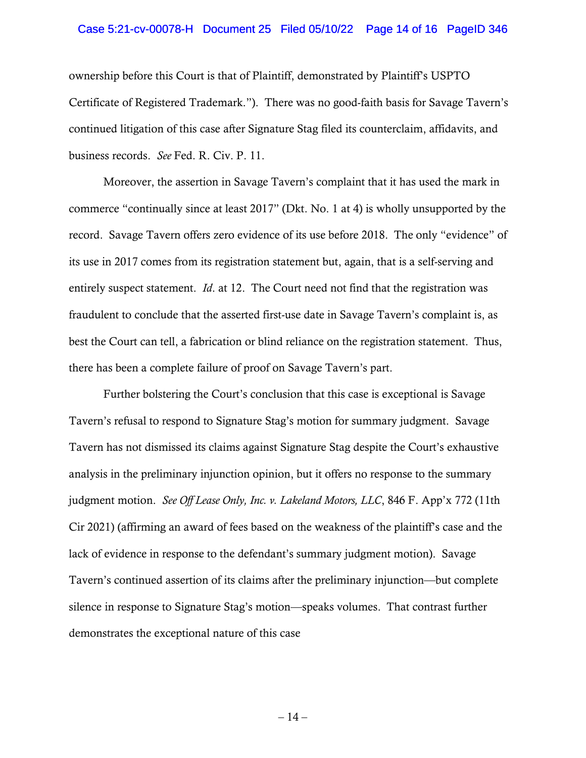### Case 5:21-cv-00078-H Document 25 Filed 05/10/22 Page 14 of 16 PageID 346

ownership before this Court is that of Plaintiff, demonstrated by Plaintiff's USPTO Certificate of Registered Trademark."). There was no good-faith basis for Savage Tavern's continued litigation of this case after Signature Stag filed its counterclaim, affidavits, and business records. *See* Fed. R. Civ. P. 11.

Moreover, the assertion in Savage Tavern's complaint that it has used the mark in commerce "continually since at least 2017" (Dkt. No. 1 at 4) is wholly unsupported by the record. Savage Tavern offers zero evidence of its use before 2018. The only "evidence" of its use in 2017 comes from its registration statement but, again, that is a self-serving and entirely suspect statement. *Id*. at 12. The Court need not find that the registration was fraudulent to conclude that the asserted first-use date in Savage Tavern's complaint is, as best the Court can tell, a fabrication or blind reliance on the registration statement. Thus, there has been a complete failure of proof on Savage Tavern's part.

Further bolstering the Court's conclusion that this case is exceptional is Savage Tavern's refusal to respond to Signature Stag's motion for summary judgment. Savage Tavern has not dismissed its claims against Signature Stag despite the Court's exhaustive analysis in the preliminary injunction opinion, but it offers no response to the summary judgment motion. *See Off Lease Only, Inc. v. Lakeland Motors, LLC*, 846 F. App'x 772 (11th Cir 2021) (affirming an award of fees based on the weakness of the plaintiff's case and the lack of evidence in response to the defendant's summary judgment motion). Savage Tavern's continued assertion of its claims after the preliminary injunction—but complete silence in response to Signature Stag's motion—speaks volumes. That contrast further demonstrates the exceptional nature of this case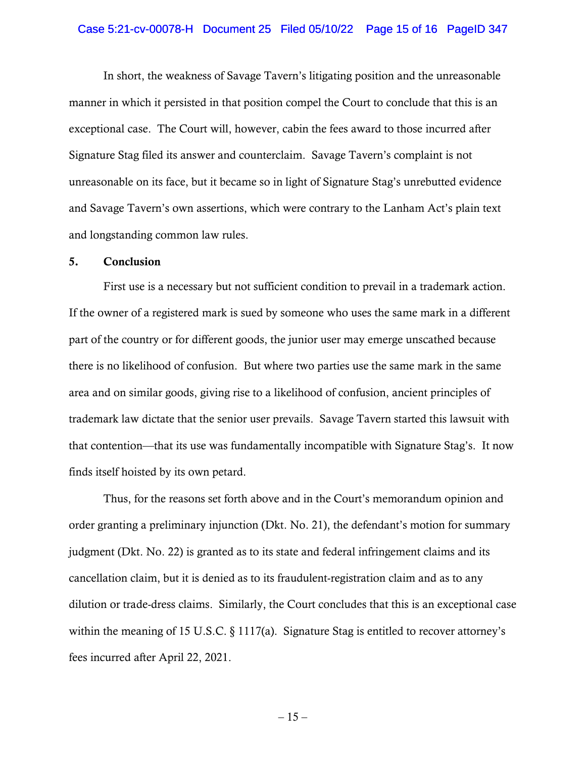### Case 5:21-cv-00078-H Document 25 Filed 05/10/22 Page 15 of 16 PageID 347

In short, the weakness of Savage Tavern's litigating position and the unreasonable manner in which it persisted in that position compel the Court to conclude that this is an exceptional case. The Court will, however, cabin the fees award to those incurred after Signature Stag filed its answer and counterclaim. Savage Tavern's complaint is not unreasonable on its face, but it became so in light of Signature Stag's unrebutted evidence and Savage Tavern's own assertions, which were contrary to the Lanham Act's plain text and longstanding common law rules.

### 5. Conclusion

First use is a necessary but not sufficient condition to prevail in a trademark action. If the owner of a registered mark is sued by someone who uses the same mark in a different part of the country or for different goods, the junior user may emerge unscathed because there is no likelihood of confusion. But where two parties use the same mark in the same area and on similar goods, giving rise to a likelihood of confusion, ancient principles of trademark law dictate that the senior user prevails. Savage Tavern started this lawsuit with that contention—that its use was fundamentally incompatible with Signature Stag's. It now finds itself hoisted by its own petard.

Thus, for the reasons set forth above and in the Court's memorandum opinion and order granting a preliminary injunction (Dkt. No. 21), the defendant's motion for summary judgment (Dkt. No. 22) is granted as to its state and federal infringement claims and its cancellation claim, but it is denied as to its fraudulent-registration claim and as to any dilution or trade-dress claims. Similarly, the Court concludes that this is an exceptional case within the meaning of 15 U.S.C. § 1117(a). Signature Stag is entitled to recover attorney's fees incurred after April 22, 2021.

 $-15-$